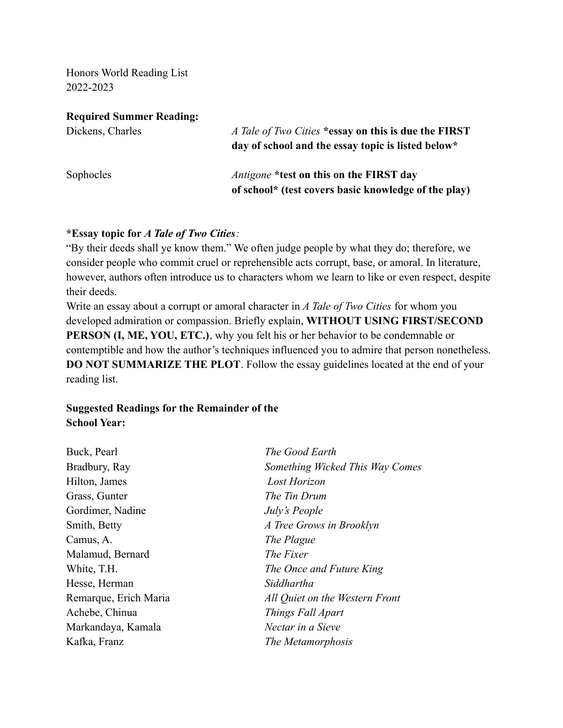Honors World Reading List 2022-2023

**Required Summer Reading:**

| Dickens, Charles | A Tale of Two Cities *essay on this is due the FIRST<br>day of school and the essay topic is listed below* |
|------------------|------------------------------------------------------------------------------------------------------------|
| Sophocles        | <i>Antigone</i> *test on this on the FIRST day<br>of school* (test covers basic knowledge of the play)     |

#### **\*Essay topic for** *A Tale of Two Cities:*

"By their deeds shall ye know them." We often judge people by what they do; therefore, we consider people who commit cruel or reprehensible acts corrupt, base, or amoral. In literature, however, authors often introduce us to characters whom we learn to like or even respect, despite their deeds.

Write an essay about a corrupt or amoral character in *A Tale of Two Cities* for whom you developed admiration or compassion. Briefly explain, **WITHOUT USING FIRST/SECOND PERSON (I, ME, YOU, ETC.)**, why you felt his or her behavior to be condemnable or contemptible and how the author's techniques influenced you to admire that person nonetheless. **DO NOT SUMMARIZE THE PLOT**. Follow the essay guidelines located at the end of your reading list.

### **Suggested Readings for the Remainder of the School Year:**

Buck, Pearl *The Good Earth* Bradbury, Ray *Something Wicked This Way Comes* Hilton, James *Lost Horizon* Grass, Gunter *The Tin Drum* Gordimer, Nadine *July's People* Smith, Betty *A Tree Grows in Brooklyn* Camus, A. *The Plague* Malamud, Bernard *The Fixer* White, T.H. *The Once and Future King* Hesse, Herman *Siddhartha* Remarque, Erich Maria *All Quiet on the Western Front* Achebe, Chinua *Things Fall Apart* Markandaya, Kamala *Nectar in a Sieve* Kafka, Franz *The Metamorphosis*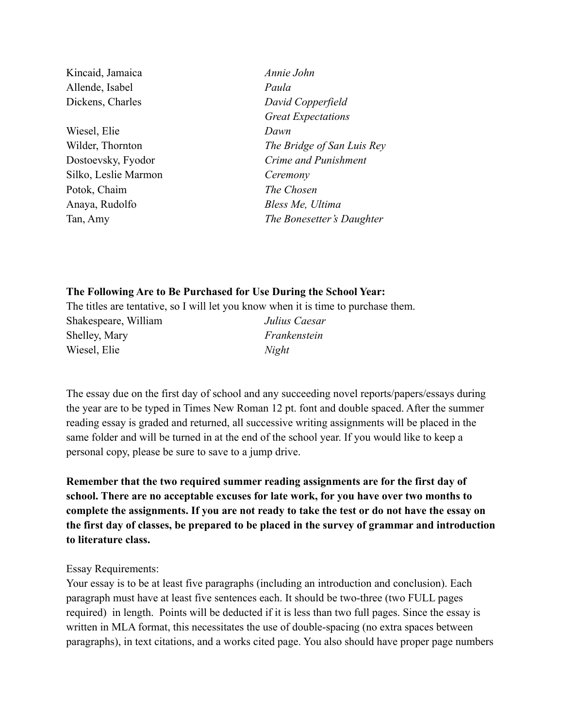Kincaid, Jamaica *Annie John* Allende, Isabel *Paula* Dickens, Charles *David Copperfield* Wiesel, Elie *Dawn* Silko, Leslie Marmon *Ceremony* Potok, Chaim *The Chosen* Anaya, Rudolfo *Bless Me, Ultima*

*Great Expectations* Wilder, Thornton *The Bridge of San Luis Rey* Dostoevsky, Fyodor *Crime and Punishment* Tan, Amy *The Bonesetter's Daughter*

#### **The Following Are to Be Purchased for Use During the School Year:**

The titles are tentative, so I will let you know when it is time to purchase them.

Shakespeare, William *Julius Caesar* Shelley, Mary *Frankenstein* Wiesel, Elie *Night*

The essay due on the first day of school and any succeeding novel reports/papers/essays during the year are to be typed in Times New Roman 12 pt. font and double spaced. After the summer reading essay is graded and returned, all successive writing assignments will be placed in the same folder and will be turned in at the end of the school year. If you would like to keep a personal copy, please be sure to save to a jump drive.

**Remember that the two required summer reading assignments are for the first day of school. There are no acceptable excuses for late work, for you have over two months to complete the assignments. If you are not ready to take the test or do not have the essay on the first day of classes, be prepared to be placed in the survey of grammar and introduction to literature class.**

#### Essay Requirements:

Your essay is to be at least five paragraphs (including an introduction and conclusion). Each paragraph must have at least five sentences each. It should be two-three (two FULL pages required) in length. Points will be deducted if it is less than two full pages. Since the essay is written in MLA format, this necessitates the use of double-spacing (no extra spaces between paragraphs), in text citations, and a works cited page. You also should have proper page numbers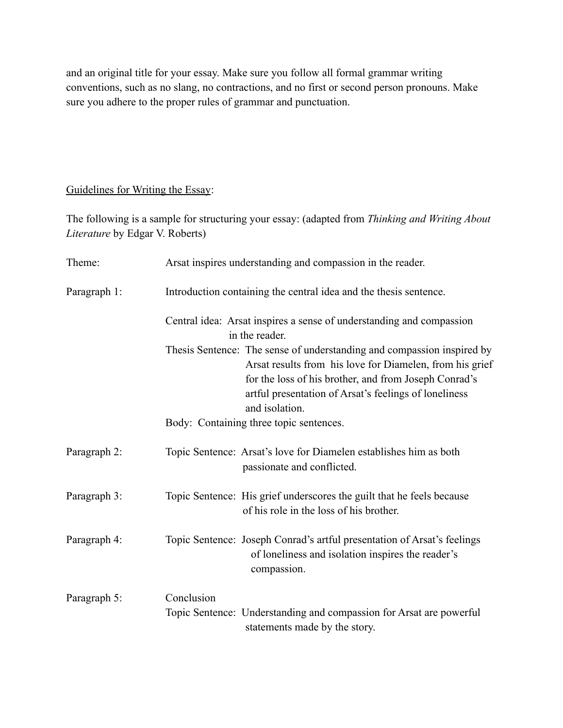and an original title for your essay. Make sure you follow all formal grammar writing conventions, such as no slang, no contractions, and no first or second person pronouns. Make sure you adhere to the proper rules of grammar and punctuation.

### Guidelines for Writing the Essay:

The following is a sample for structuring your essay: (adapted from *Thinking and Writing About Literature* by Edgar V. Roberts)

| Theme:       | Arsat inspires understanding and compassion in the reader.                                                                                                                                                                                                             |
|--------------|------------------------------------------------------------------------------------------------------------------------------------------------------------------------------------------------------------------------------------------------------------------------|
| Paragraph 1: | Introduction containing the central idea and the thesis sentence.                                                                                                                                                                                                      |
|              | Central idea: Arsat inspires a sense of understanding and compassion<br>in the reader.                                                                                                                                                                                 |
|              | Thesis Sentence: The sense of understanding and compassion inspired by<br>Arsat results from his love for Diamelen, from his grief<br>for the loss of his brother, and from Joseph Conrad's<br>artful presentation of Arsat's feelings of loneliness<br>and isolation. |
|              | Body: Containing three topic sentences.                                                                                                                                                                                                                                |
| Paragraph 2: | Topic Sentence: Arsat's love for Diamelen establishes him as both<br>passionate and conflicted.                                                                                                                                                                        |
| Paragraph 3: | Topic Sentence: His grief underscores the guilt that he feels because<br>of his role in the loss of his brother.                                                                                                                                                       |
| Paragraph 4: | Topic Sentence: Joseph Conrad's artful presentation of Arsat's feelings<br>of loneliness and isolation inspires the reader's<br>compassion.                                                                                                                            |
| Paragraph 5: | Conclusion<br>Topic Sentence: Understanding and compassion for Arsat are powerful<br>statements made by the story.                                                                                                                                                     |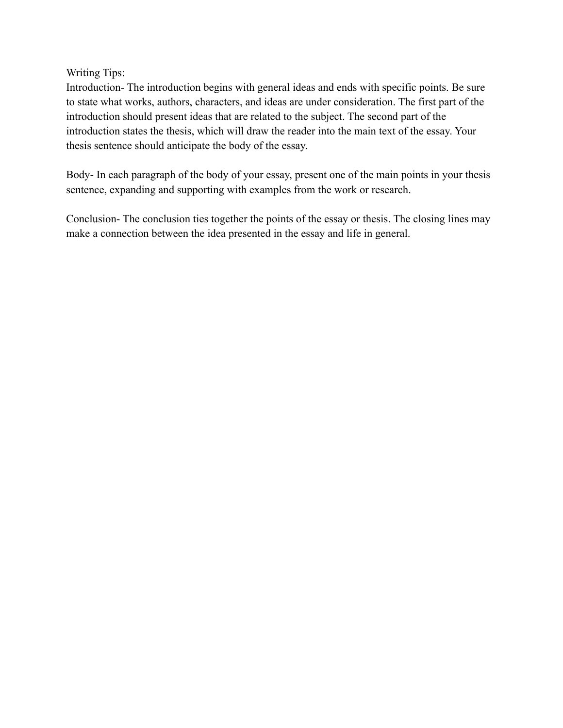Writing Tips:

Introduction- The introduction begins with general ideas and ends with specific points. Be sure to state what works, authors, characters, and ideas are under consideration. The first part of the introduction should present ideas that are related to the subject. The second part of the introduction states the thesis, which will draw the reader into the main text of the essay. Your thesis sentence should anticipate the body of the essay.

Body- In each paragraph of the body of your essay, present one of the main points in your thesis sentence, expanding and supporting with examples from the work or research.

Conclusion- The conclusion ties together the points of the essay or thesis. The closing lines may make a connection between the idea presented in the essay and life in general.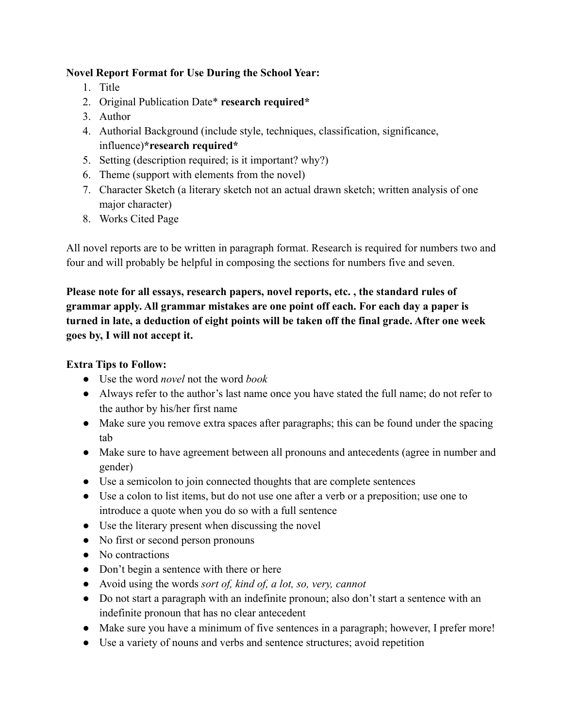# **Novel Report Format for Use During the School Year:**

- 1. Title
- 2. Original Publication Date\* **research required\***
- 3. Author
- 4. Authorial Background (include style, techniques, classification, significance, influence)**\*research required\***
- 5. Setting (description required; is it important? why?)
- 6. Theme (support with elements from the novel)
- 7. Character Sketch (a literary sketch not an actual drawn sketch; written analysis of one major character)
- 8. Works Cited Page

All novel reports are to be written in paragraph format. Research is required for numbers two and four and will probably be helpful in composing the sections for numbers five and seven.

**Please note for all essays, research papers, novel reports, etc. , the standard rules of grammar apply. All grammar mistakes are one point off each. For each day a paper is turned in late, a deduction of eight points will be taken off the final grade. After one week goes by, I will not accept it.**

# **Extra Tips to Follow:**

- Use the word *novel* not the word *book*
- Always refer to the author's last name once you have stated the full name; do not refer to the author by his/her first name
- Make sure you remove extra spaces after paragraphs; this can be found under the spacing tab
- Make sure to have agreement between all pronouns and antecedents (agree in number and gender)
- Use a semicolon to join connected thoughts that are complete sentences
- Use a colon to list items, but do not use one after a verb or a preposition; use one to introduce a quote when you do so with a full sentence
- Use the literary present when discussing the novel
- No first or second person pronouns
- No contractions
- Don't begin a sentence with there or here
- Avoid using the words *sort of, kind of, a lot, so, very, cannot*
- Do not start a paragraph with an indefinite pronoun; also don't start a sentence with an indefinite pronoun that has no clear antecedent
- Make sure you have a minimum of five sentences in a paragraph; however, I prefer more!
- Use a variety of nouns and verbs and sentence structures; avoid repetition